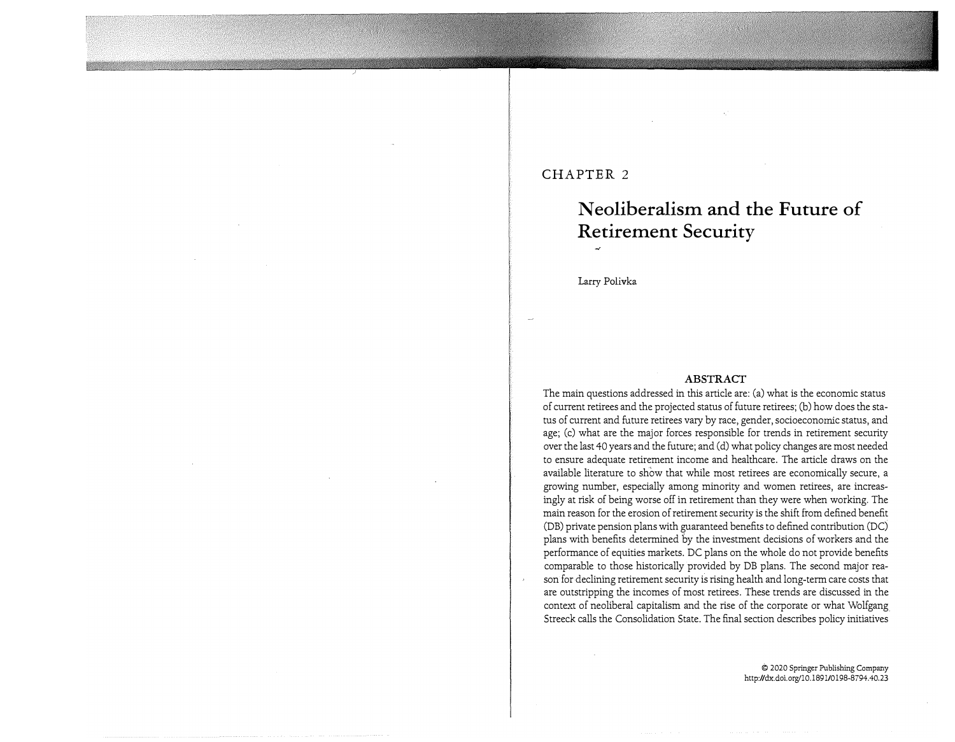## **CHAPTER 2**

# **N eoliberalism and the Future of Retirement Security**

Larry Polivka

#### **ABSTRACT**

The main questions addressed in this article are: (a) what is the economic status of current retirees and the projected status of future retirees; (b) how does the status of current and future retirees vary by race, gender, socioeconomic status, and age; (c) what are the major forces responsible for trends in retirement security over the last 40 years and the future; and (d) what policy changes are most needed to ensure adequate retirement income and healthcare. The article draws on the available literature to show that while most retirees are economically secure, a growing number, especially among minority and women retirees, are increasingly at risk of being worse off in retirement than they were when working. The main reason for the erosion of retirement security is the shift from defined benefit (DB) private pension plans with guaranteed benefits to defined contribution (DC) plans with benefits determined by the investment decisions of workers and the performance of equities markets. DC plans on the whole do not provide benefits comparable to those historically provided by DB plans. The second major reason for declining retirement security is rising health and long-term care costs that are outstripping the incomes of most retirees. These trends are discussed in the context of neoliberal capitalism and the rise of the corporate or what Wolfgang Streeck calls the Consolidation State. The final section describes policy initiatives

> © 2020 Springer Publishing Company http://dx.doi.org/10.1891/0198-8794.40.23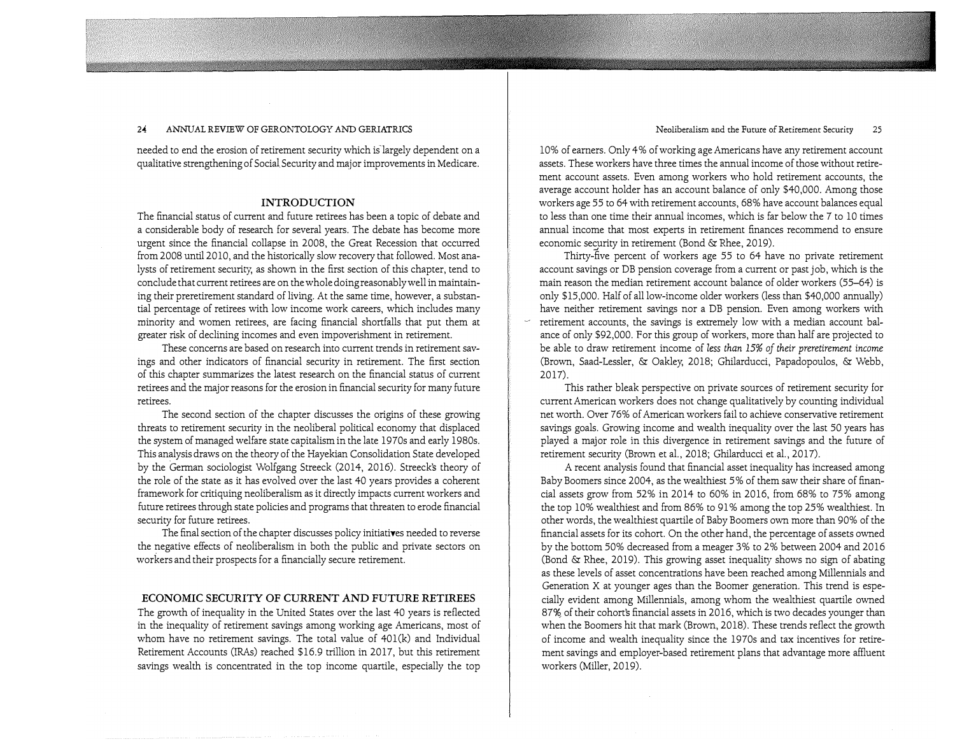needed to end the erosion of retirement security which is'largely dependent on a qualitative strengthening of Social Security and major improvements in Medicare.

 $\label{eq:2.1} \left\langle \psi_{\alpha\beta} \psi_{\beta\beta} \psi_{\beta\beta} \psi_{\beta\beta} \psi_{\beta\beta} \psi_{\beta\beta} \psi_{\beta\beta} \psi_{\beta\beta} \psi_{\beta\beta} \psi_{\beta\beta} \psi_{\beta\beta} \psi_{\beta\beta} \psi_{\beta\beta} \psi_{\beta\beta} \psi_{\beta\beta} \psi_{\beta\beta} \psi_{\beta\beta} \psi_{\beta\beta} \psi_{\beta\beta} \psi_{\beta\beta} \psi_{\beta\beta} \psi_{\beta\beta} \psi_{\beta\beta} \psi_{\beta\beta} \psi_{\beta\beta} \psi_{\beta\beta$ 

#### **INTRODUCTION**

The financial status of current and future retirees has been a topic of debate and a considerable body of research for several years. The debate has become more urgent since the financial collapse in 2008, the Great Recession that occurred from 2008 until 2010, and the historically slow recovery that followed. Most analysts of retirement security; as shown in the first section of this chapter, tend to conclude that current retirees are on the whole doing reasonably well in maintaining their preretirement standard of living. At the same time, however, a substantial percentage of retirees with low income work careers, which includes many minority and women retirees, are facing financial shortfalls that put them at greater risk of declining incomes and even impoverishment in retirement.

These concerns are based on research into current trends in retirement savings and other indicators of financial security in retirement. The first section of this chapter summarizes the latest research on the financial status of current retirees and the major reasons for the erosion in financial security for many future retirees.

The second section of the chapter discusses the origins of these growing threats to retirement security in the neoliberal political economy that displaced the system of managed welfare state capitalism in the late 1970s and early 1980s. This analysis draws on the theory of the Hayekian Consolidation State developed by the German sociologist Wolfgang Streeck (2014, 2016). Streeck's theory of the role of the state as it has evolved over the last 40 years provides a coherent framework for critiquing neoliberalism as it directly impacts current workers and future retirees through state policies and programs that threaten to erode financial security for future retirees.

The final section of the chapter discusses policy initiatives needed to reverse the negative effects of neoliberalism in both the public and private sectors on workers and their prospects for a financially secure retirement.

### **ECONOMIC SECURITY OF CURRENT AND FUTURE RETIREES**

The growth of inequality in the United States over the last 40 years is reflected in the inequality of retirement savings among working age Americans, most of whom have no retirement savings. The total value of  $401(k)$  and Individual Retirement Accounts (IRAs) reached \$16.9 trillion in 2017, but this retirement savings wealth is concentrated in the top income quartile, especially the top

Neoliberalism and the Future of Retirement Security 25

10% of earners. Only 4% of working age Americans have any retirement account assets. These workers have three times the annual income of those without retirement account assets. Even among workers who hold retirement accounts, the average account holder has an account balance of only \$40,000. Among those workers age 55 to 64 with retirement accounts, 68% have account balances equal to less than one time their annual incomes, which is far below the 7 to 10 times annual income that most experts in retirement finances recommend to ensure economic security in retirement (Bond & Rhee, 2019).

Thirty-five percent of workers age 55 to 64 have no private retirement account savings or DB pension coverage from a current or past job, which is the main reason the median retirement account balance of older workers (55-64) is only \$15,000. Half of all low-income older workers (less than \$40,000 annually) have neither retirement savings nor a DB pension. Even among workers with retirement accounts, the savings is extremely low with a median account balance of only \$92,000. For this group of workers, more than half are projected to be able to draw retirement income of less *than* 15% *of their preretirement income* (Brown, Saad-Lessler, & Oakley; 2018; Ghilarducci, Papadopoulos, & Webb, 2017).

This rather bleak perspective on private sources of retirement security for current American workers does not change qualitatively by counting individual net worth. Over 76% of American workers fail to achieve conservative retirement savings goals. Growing income and wealth inequality over the last 50 years has played a major role in this divergence in retirement savings and the future of retirement security (Brown et al., 2018; Ghilarducci et al., 2017).

A recent analysis found that financial asset inequality has increased among Baby Boomers since 2004, as the wealthiest 5% of them saw their share of financial assets grow from 52% in 2014 to 60% in 2016, from 68% to 75% among the top 10% wealthiest and from 86% to 91 % among the top 25% wealthiest. In other words, the wealthiest quartile of Baby Boomers own more than 90% of the financial assets for its cohort. On the other hand, the percentage of assets owned by the bottom 50% decreased from a meager 3% to 2% between 2004 and 2016 (Bond & Rhee, 2019). This growing asset inequality shows no sign of abating as these levels of asset concentrations have been reached among Millennials and Generation X at younger ages than the Boomer generation. This trend is especially evident among Millennials, among whom the wealthiest quartile owned 87% of their cohort's financial assets in 2016, which is two decades younger than when the Boomers hit that mark (Brown, 2018). These trends reflect the growth of income and wealth inequality since the 1970s and tax incentives for retirement savings and employer-based retirement plans that advantage more affluent workers (Miller, 2019).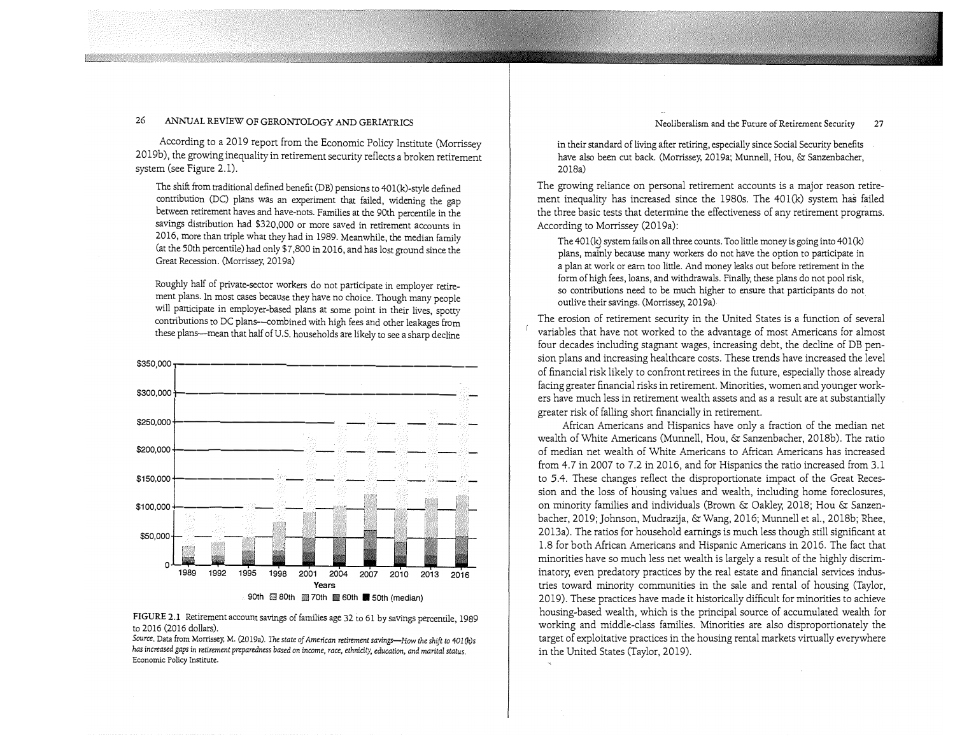Neoliberalism and the Future of Retirement Security 27

#### 26 ANNUAL REVIEW OF GERONTOLOGY AND GERIATRICS

According to a 2019 report from the Economic Policy Institute (Morrissey 2019b), the growing inequality in retirement security reflects a broken retirement system (see Figure 2.1).

The shift from traditional defined benefit (DB) pensions to 401 (k)-style defined contribution (DC) plans was an experiment that failed, widening the gap between retirement haves and have-nots. Families at the 90th percentile in the savings distribution had \$320,000 or more saved in retirement accounts in 2016, more than triple what they had in 1989. Meanwhile, the median family (at the 50th percentile) had only \$7,800 in 2016, and has lost ground since the Great Recession. (Morrissey, 2019a)

Roughly half of private-sector workers do not participate in employer retirement plans. In most cases because they have no choice. Though many people will participate in employer-based plans at some point in their lives, spotty contributions to DC plans--combined with high fees and other leakages from these plans--mean that half of U.S. households are likely to see a sharp decline



#### **FIGURE 2.1** Retirement account savings of families age 32 to 61 by savings percentile, 1989 to 2016 (2016 dollars).

*Source.* Data from Morrissey. M. (2019a). *The state of American retirement savings-How the shift to 401 (k)s has increased gaps in retirement preparedness based on income, race, ethnicity, education, and marital status.*  Economic Policy Institute.

in their standard of living after retiring, especially since Social Security benefits have also been cut back. (Morrissey, 2019a; Munnell, Hou, & Sanzenbacher, 2018a)

The growing reliance on personal retirement accounts is a major reason retirement inequality has increased since the 1980s. The 40l(k) system has failed the three basic tests that determine the effectiveness of any retirement programs. According to Morrissey (2019a):

The  $401(k)$  system fails on all three counts. Too little money is going into  $401(k)$ plans, mainly because many workers do not have the option to participate in a plan at work or earn too little. And money leaks out before retirement in the form of high fees, loans, and withdrawals. Finally, these plans do not pool risk, so contributions need to be much higher to ensure that participants do not outlive their savings. (Morrissey, 2019a)

The erosion of retirement security in the United States is a function of several variables that have not worked to the advantage of most Americans for almost four decades including stagnant wages, increasing debt, the decline of DB pension plans and increasing healthcare costs. These trends have increased the level of financial risk likely to confront retirees in the future, especially those already facing greater financial risks in retirement. Minorities, women and younger workers have much less in retirement wealth assets and as a result are at substantially greater risk of falling short financially in retirement.

African Americans and Hispanics have only a fraction of the median net wealth of White Americans (Munnell, Hou, & Sanzenbacher, 2018b). The ratio of median net wealth of White Americans to African Americans has increased from 4.7 in 2007 to 7.2 in 2016, and for Hispanics the ratio increased from 3.1 to 5.4. These changes reflect the disproportionate impact of the Great Recession and the loss of housing values and wealth, including home foreclosures, on minority families and individuals (Brown & Oakley, 2018; Hou & Sanzenbacher, 2019; Johnson, Mudrazija, & Wang, 2016; Munnell et al., 2018b; Rhee, 2013a). The ratios for household earnings is much less though still significant at 1.8 for both African Americans and Hispanic Americans in 2016. The fact that minorities have so much less net wealth is largely a result of the highly discriminatory, even predatory practices by the real estate and financial services industries toward minority communities in the sale and rental of housing (Taylor, 2019). These practices have made it historically difficult for minorities to achieve housing-based wealth, which is the principal source of accumulated wealth for working and middle-class families. Minorities are also disproportionately the target of exploitative practices in the housing rental markets virtually everywhere in the United States (Taylor, 2019).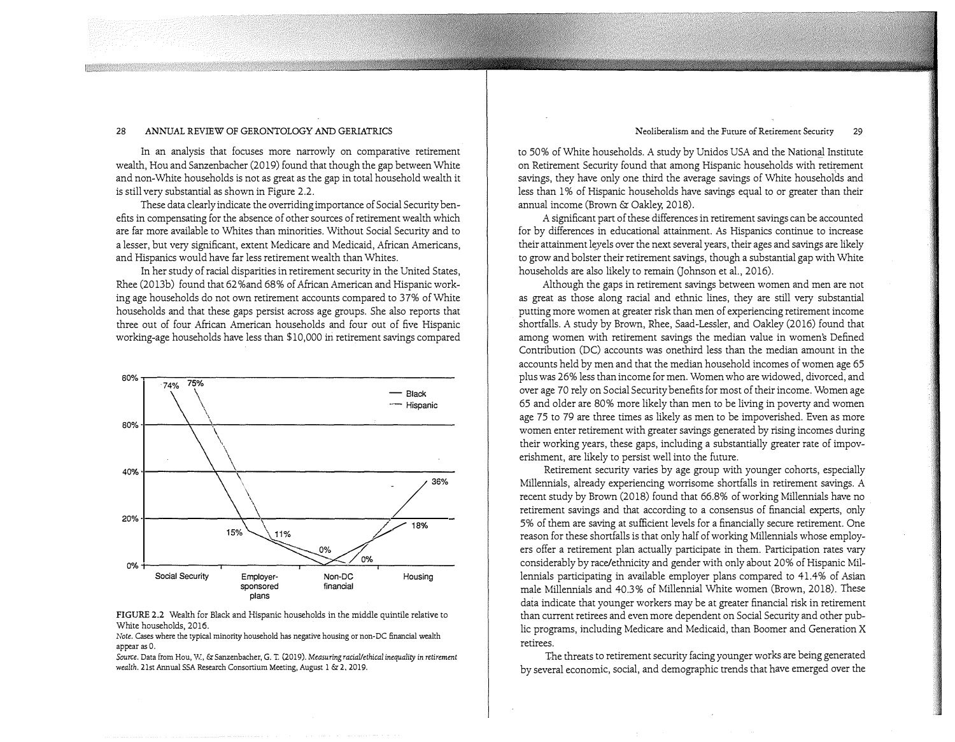In an analysis that focuses more narrowly on comparative retirement wealth, Hou and Sanzenbacher (2019) found that though the gap between White and non-White households is not as great as the gap in total household wealth it is still very substantial as shown in Figure 2.2.

These data clearly indicate the overriding importance of Social Security benefits in compensating for the absence of other sources of retirement wealth which are far more available to Whites than minorities. Without Social Security and to a lesser, but very significant, extent Medicare and Medicaid, African Americans, and Hispanics would have far less retirement wealth than Whites.

1n her study of racial disparities in retirement security in the United States, Rhee (2013b) found that 62%and 68% of African American and Hispanic working age households do not own retirement accounts compared to 37% of White households and that these gaps persist across age groups. She also reports that three out of four African American households and four out of five Hispanic working-age households have less than \$10,000 iri retirement savings compared





*Note.* Cases where the typical minority household has negative housing or non-DC financial wealth appear as 0.

*Source.* Data from Hou, W, &: Sanzenbacher, G. T. (2019). Measuring *racial/ethical inequality in retirement wealth.* 21st Annual SSA Research Consortium Meeting, August 1 &: 2, 2019.

#### Neoliberalism and the Future of Retirement Security 29

to 50% of White households. A study by Unidos USA and the National Institute on Retirement Security found that among Hispanic households with retirement savings, they have only one third the average savings of White households and less than 1 % of Hispanic households have savings equal to or greater than their annual income (Brown & Oakley, 2018).

A significant part of these differences in retirement savings can be accounted for by differences in educational attainment. As Hispanics continue to increase their attainment leyels over the next several years, their ages and savings are likely to grow and bolster their retirement savings, though a substantial gap with White households are also likely to remain (Johnson et al., 2016).

Although the gaps in retirement savings between women and men are not as great as those along racial and ethnic lines, they are still very substantial putting more women at greater risk than men of experiencing retirement income shortfalls. A study by Brown, Rhee, Saad-Lessler, and Oakley (2016) found that among women with retirement savings the median value in women's Defined Contribution (DC) accounts was onethird less than the median amount in the accounts held by men and that the median household incomes of women age 65 plus was 26% less than income for men. Women who are widowed, divorced, and over age 70 rely on Social Security benefits for most of their income. Women age 65 and older are 80% more likely than men to be living in poverty and women age 75 to 79 are three times as likely as men to be impoverished. Even as more women enter retirement with greater savings generated by rising incomes during their working years, these gaps, including a substantially greater rate of impoverishment, are likely to persist well into the future.

Retirement security varies by age group with younger cohorts, especially Millennials, already experiencing worrisome shortfalls in retirement savings. A recent study by Brown (2018) found that 66.8% of working Millennials have no retirement savings and that according to a consensus of financial experts, only 5% of them are saving at sufficient levels for a financially secure retirement. One reason for these shortfalls is that only half of working Millennials whose employers offer a retirement plan actually participate in them. Participation rates vary considerably by race/ethnicity and gender with only about 20% of Hispanic Millennials participating in available employer plans compared to 41. 4% of Asian male Millennials and 40.3% of Millennial White women (Brown, 2018). These data indicate that younger workers may be at greater financial risk in retirement than current retirees and even more dependent on Social Security and other public programs, including Medicare and Medicaid, than Boomer and Generation X retirees.

The threats to retirement security facing younger works are being generated by several economic, social, and demographic trends that have emerged over the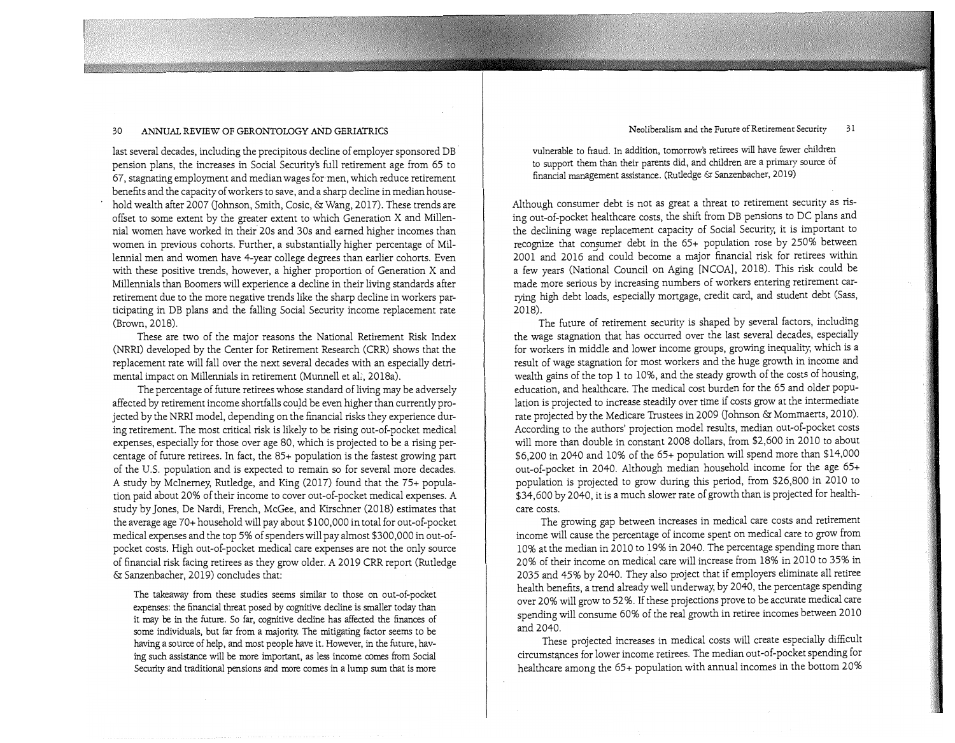last several decades, including the precipitous decline of employer sponsored DB pension plans, the increases in Social Security's full retirement age from 65 to 67, stagnating employment and median wages for-men, which reduce retirement benefits and the capacity of workers to save, and a sharp decline in median household wealth after 2007 (Johnson, Smith, Cosic, & Wang, 2017). These trends are offset to some extent by the greater extent to which Generation X and Millennial women have worked in their 20s and 30s and earned higher incomes than women in previous cohorts. Further, a substantially higher percentage of Millennial men and women have 4-year college degrees than earlier cohorts. Even with these positive trends, however, a higher proportion of Generation X and Millennials than Boomers will experience a decline in their living standards after retirement due to the more negative trends like the sharp decline in workers participating in DB plans and the falling Social Security income replacement rate (Brown, 2018).

These are two of the major reasons the National Retirement Risk Index (NRRI) developed by the Center for Retirement Research ( CRR) shows that the replacement rate will fall over the next several decades with an especially detrimental impact on Millennials in retirement (Munnell et al., 2018a).

The percentage of future retirees whose standard of living may be adversely affected by retirement income shortfalls could be even higher than currently projected by the NRRI model, depending on the financial risks they experience during retirement. The most critical risk is likely to be rising out-of-pocket medical expenses, especially for those over age 80, which is projected to be a rising percentage of future retirees. In fact, the 85+ population is the fastest growing part of the U.S. population and is expected to remain so for several more decades. A study by Mclnerney, Rutledge, and King (2017) found that the 75+ population paid about 20% of their income to cover out-of-pocket medical expenses. A study by Jones, De Nardi, French, McGee, and Kirschner (2018) estimates that the average age 70+ household will pay about \$100,000 in total for out-of-pocket medical expenses and the top 5% of spenders will pay almost \$300,000 in out-ofpocket costs. High out-of-pocket medical care expenses are not the only source of financial risk facing retirees as they grow older. A 2019 CRR report (Rutledge &: Sanzenbacher, 2019) concludes that:

The takeaway from these studies seems similar to those on out-of-pocket expenses: the financial threat posed by cognitive decline is smaller today than it may be in the future. So far, cognitive decline has affected the finances of some individuals, but far from a majority. The mitigating factor seems to be having a source of help, and most people have it. However, in the future, having such assistance will be more important, as less income comes from Social Security and traditional pensions and more comes in a lump sum that is more

#### Neoliberalism and the Future of Retirement Security 31

vulnerable to fraud. In addition, tomorrow's retirees will have fewer children to support them than their parents did, and children are a primary source of financial management assistance. (Rutledge & Sanzenbacher, 2019)

Although consumer debt is not as great a threat to retirement security as rising out-of-pocket healthcare costs, the shift from DB pensions to DC plans and the declining wage replacement capacity of Social Security, it is important to recognize that consumer debt in the 65+ population rose by 250% between 2001 and 2016 and could become a major financial risk for retirees within a few years (National Council on Aging [NCOA], 2018). This risk could be made more serious by increasing numbers of workers entering retirement carrying high debt loads, especially mortgage, credit card, and student debt (Sass, 2018).

The future of retirement security is shaped by several factors, including the wage stagnation that has occurred over the last several decades, especially for workers in middle and lower income groups, growing inequality, which is a result of wage stagnation for most workers and the huge growth in income and wealth gains of the top 1 to 10%, and the steady growth of the costs of housing, education, and healthcare. The medical cost burden for the 65 and older population is projected to increase steadily over time if costs grow at the intermediate rate projected by the Medicare Trustees in 2009 (Johnson & Mommaerts, 2010). According to the authors' projection model results, median out-of-pocket costs will more than double in constant 2008 dollars, from \$2,600 in 2010 to about \$6,200 in 2040 and 10% of the 65+ population will spend more than \$14,000 out-of-pocket in 2040. Although median household income for the age 65+ population is projected to grow during this period, from \$26,800 in 2010 to \$34,600 by 2040, it is a much slower rate of growth than is projected for healthcare costs.

The growing gap between increases in medical care costs and retirement income will cause the percentage of income spent on medical care to grow from 10% at the median in 2010 to 19% in 2040. The percentage spending more than 20% of their income on medical care will increase from 18% in 2010 to 35% in 2035 and 45% by 2040. They also project that if employers eliminate all retiree health benefits, a trend already well underway, by 2040, the percentage spending over 20% will grow to 52 %. If these projections prove to be accurate medical care spending will consume 60% of the real growth in retiree incomes between 2010 and 2040.

These projected increases in medical costs will create especially difficult circumstances for lower income retirees. The median out-of-pocket spending for healthcare among the 65+ population with annual incomes in the bottom 20%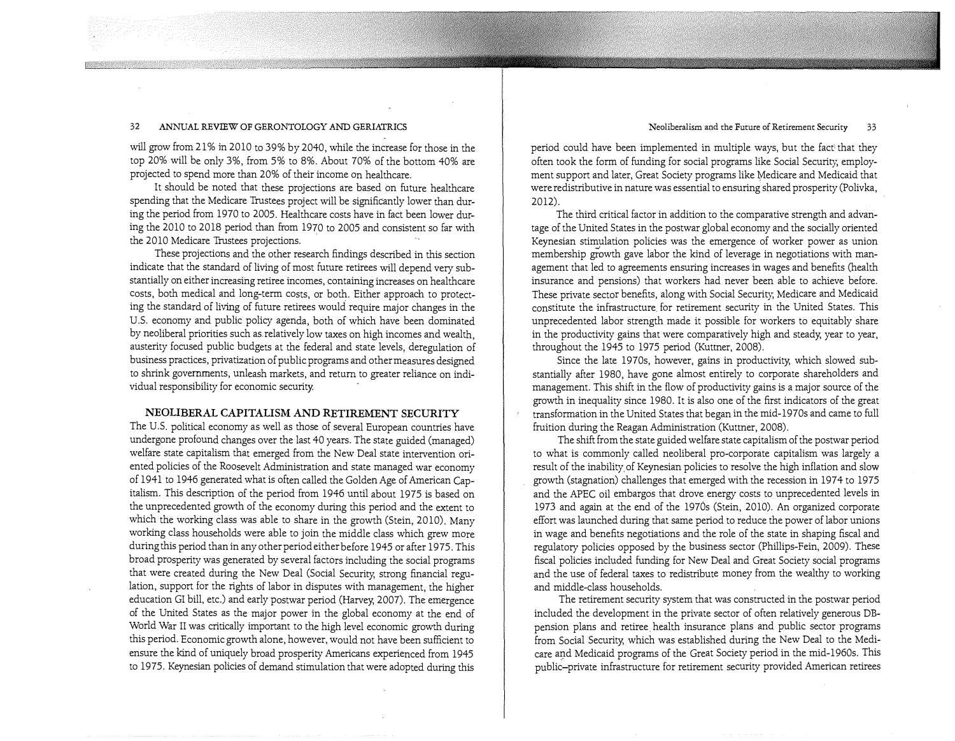#### Neoliberalism and the Future of Retirement Security 33

#### 32 ANNUAL REVIEW OF GERONTOLOGY AND GERIATRICS

will grow from 21% in 2010 to 39% by 2040, while the increase for those in the top 20% will be only 3%, from 5% to 8%. About 70% of the bottom 40% are projected to spend more than 20% of their income on healthcare.

It should be noted that these projections are based on future healthcare spending that the Medicare Trustees project will be significantly lower than during the period from 1970 to 2005. Healthcare costs have in fact been lower during the 2010 to 2018 period than from 1970 to 2005 and consistent so far with the 2010 Medicare Trustees projections.

These projections and the other research findings described in this section indicate that the standard of living of most future retirees will depend very substantially on either increasing retiree incomes, containing increases on healthcare costs, both medical and long-term costs, or both. Either approach to protecting the standard of living of future retirees would require major changes in the U.S. economy and public policy agenda, both of which have been dominated by neoliberal priorities such as.relatively low taxes on high incomes and wealth, austerity focused public budgets at the federal and state levels, deregulation of business practices, privatization of public programs and other measures designed to shrink governments, unleash markets, and return to greater reliance on individual responsibility for economic security.

#### **NEOLIBERAL CAPITALISM AND RETIREMENT SECURITY**

The U.S. political economy as well as those of several European countries have undergone profound changes over the last 40 years. The state guided (managed) welfare state capitalism that emerged from the New Deal state intervention oriented policies of the Roosevelt Administration and state managed war economy of 1941 to 1946 generated what is often called the Golden Age of American Capitalism. This description of the period from 1946 until about 1975 is based on the unprecedented growth of the economy during this period and the extent to which the working class was able to share in the growth (Stein, 2010). Many working class households were able to join the middle class which grew more during this period than in any other period either before 1945 or after 1975. This broad prosperity was generated by several factors including the social programs that were created during the New Deal (Social Security, strong financial regulation, support for the rights of labor in disputes with management, the higher education GI bill, etc.) and early postwar period (Harvey; 2007). The emergence of the United States as the major power in the global economy at the end of World War II was critically important to the high level economic growth during this period. Economic growth alone, however, would not have been sufficient to ensure the kind of uniquely broad prosperity Americans experienced from 1945 to 1975. Keynesian policies of demand stimulation that were adopted during this

period could have been implemented in multiple ways, but the fact' that they often took the form of funding for social programs like Social Security, employment support and later, Great Society programs like Medicare and Medicaid that were redistributive in nature was essential to ensuring shared prosperity (Polivka, 2012).

The third critical factor in addition to the comparative strength and advantage of the United States in the postwar global economy and the socially oriented Keynesian stimulation policies was the emergence of worker power as union membership growth gave labor the kind of leverage in negotiations with management that led to agreements ensuring increases in wages and benefits (health insurance and pensions) that workers had never been able to achieve before. These private sector benefits, along with Social Security, Medicare and Medicaid constitute the infrastructure for retirement security in the United States. This unprecedented labor strength made it possible for workers to equitably share in the productivity gains that were comparatively high and steady; year to year, throughout the 1945 to 1975 period (Kuttner, 2008).

Since the late 1970s, however, gains in productivity, which slowed substantially after 1980, have gone almost entirely to corporate shareholders and management. This shift in the flow of productivity gains is a major source of the growth in inequality since 1980. It is also one of the first indicators of the great transformation in the United States that began in the mid-1970s and came to full fruition during the Reagan Administration (Kuttner, 2008).

The shift from the state guided welfare state capitalism of the postwar period to what is commonly called neoliberal pro-corporate capitalism was largely a result of the inability of Keynesian policies to resolve the high inflation and slow growth (stagnation) challenges that emerged with the recession in 1974 to 1975 and the APEC oil embargos that drove energy costs to unprecedented levels in 1973 and again at the end of the 1970s (Stein, 2010). An organized corporate effort was launched during that same period to reduce the power of labor unions in wage and benefits negotiations and the role of the state in shaping fiscal and regulatory policies opposed by the business sector (Phillips-Fein, 2009). These fiscal policies included funding for New Deal and Great Society social programs and the use of federal taxes to redistribute money from the wealthy to working and middle-class households.

The retirement security system that was constructed in the postwar period included the development in the private sector of often relatively generous DBpension plans and retiree health insurance plans and public sector programs from Social Security, which was established during the New Deal to the Medicare and Medicaid programs of the Great Society period in the mid-1960s. This public-private infrastructure for retirement security provided American retirees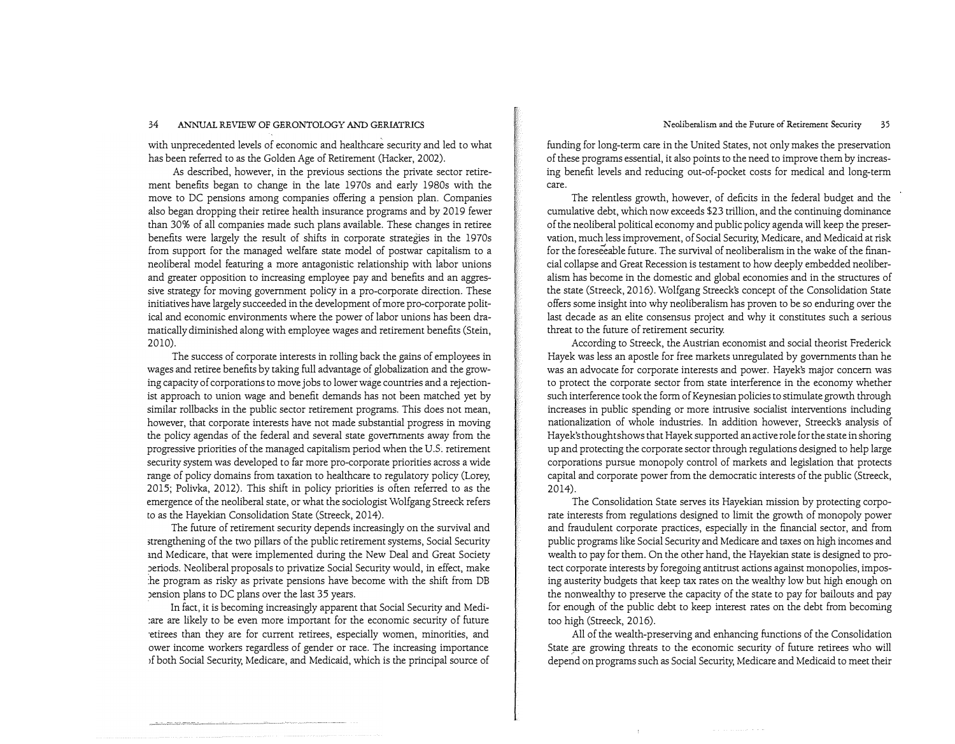#### Neoliberalism and the Future of Retirement Security 35

#### 34 ANNUAL REVIEW OF GERONTOLOGY AND GERIATRICS

with unprecedented levels of economic and healthcare security and led to what has been referred to as the Golden Age of Retirement (Hacker, 2002).

As described, however, in the previous sections the private sector retirement benefits began to change in the late 1970s arid early 1980s with the move to DC pensions among companies offering a pension plan. Companies also began dropping their retiree health insurance programs and by 2019 fewer than 30% of all companies made such plans available. These changes in retiree benefits were largely the result of shifts in corporate strategies in the 1970s from support for the managed welfare state model of postwar capitalism to a neoliberal model featuring a more antagonistic relationship with labor unions and greater opposition to increasing employee pay and benefits and an aggressive strategy for moving government policy in a pro-corporate direction. These initiatives have largely succeeded in the development of more pro-corporate political and economic environments where the power of labor unions has been dramatically diminished along with employee wages and retirement benefits (Stein, 2010).

The success of corporate interests in rolling back the gains of employees in wages and retiree benefits by taking full advantage of globalization and the growing capacity of corporations to move jobs to lower wage countries and a rejectionist approach to union wage and benefit demands has not been matched yet by similar rollbacks in the public sector retirement programs. This does not mean, however, that corporate interests have not made substantial progress in moving the policy agendas of the federal and several state governments away from the progressive priorities of the managed capitalism period when the U.S. retirement security system was developed to far more pro-corporate priorities across a wide range of policy domains from taxation to healthcare to regulatory policy (Lorey, 2015; Polivka, 2012). This shift in policy priorities is often referred to as the emergence of the neoliberal state, or what the sociologist Wolfgang Streeck refers to as the Hayekian Consolidation State (Streeck, 2014).

The future of retirement security depends increasingly on the survival and strengthening of the two pillars of the public retirement systems, Social Security md Medicare, that were implemented during the New Deal and Great Society Jeriods. Neoliberal proposals to privatize Social Security would, in effect, make :he program as risky as private pensions have become with the shift from DB Jension plans to DC plans over the last 35 years.

In fact, it is becoming increasingly apparent that Social Security and Medi :are are likely to be even more important for the economic security of future ·etirees than they are for current retirees, especially women, minorities, and ower income workers regardless of gender or race. The increasing importance if both Social Security, Medicare, and Medicaid, which is the principal source of funding for long-term care in the United States, not only makes the preservation of these programs essential, it also points to the need to improve them by increasing benefit levels and reducing out-of-pocket costs for medical and long-term care.

The relentless growth, however, of deficits in the federal budget and the cumulative debt, which now exceeds \$23 trillion, and the continuing dominance of the neoliberal political economy and public policy agenda will keep the preservation, much less improvement, of Social Security, Medicare, and Medicaid at risk for the foreseeable future. The survival of neoliberalism in the wake of the financial collapse and Great Recession is testament to how deeply embedded neoliberalism has become in the domestic and global economies and in the structures of the state (Streeck, 2016). Wolfgang Streeck's concept of the Consolidation State offers some insight into why neoliberalism has proven to be so enduring over the last decade as an elite consensus project and why it constitutes such a serious threat to the future of retirement security.

According to Streeck, the Austrian economist and social theorist Frederick Hayek was less an apostle for free markets unregulated by governments than he was an advocate for corporate interests and power. Hayek's major concern was to protect the corporate sector from state interference in the economy whether such interference took the form of Keynesian policies to stimulate growth through increases in public spending or more intrusive socialist interventions including nationalization of whole industries. In addition however, Streecks analysis of Hayek's thought shows that Hayek supported an active role for the state in shoring up and protecting the corporate sector through regulations designed to help large corporations pursue monopoly control of markets and legislation that protects capital and corporate power from the democratic interests of the public (Streeck, 2014).

The Consolidation State serves its Hayekian mission by protecting corporate interests from regulations designed to limit the growth of monopoly power and fraudulent corporate practices, especially in the financial sector, and from public programs like Social Security and Medicare and taxes on high incomes and wealth to pay for them. On the other hand, the Hayekian state is designed to protect corporate interests by foregoing antitrust actions against monopolies, imposing austerity budgets that keep tax rates on the wealthy low but high enough on the nonwealthy to preserve the capacity of the state to pay for bailouts and pay for enough of the public debt to keep interest rates on the debt from becoming too high (Streeck, 2016).

All of the wealth-preserving and enhancing functions of the Consolidation State are growing threats to the economic security of future retirees who will depend on programs such as Social Security, Medicare and Medicaid to meet their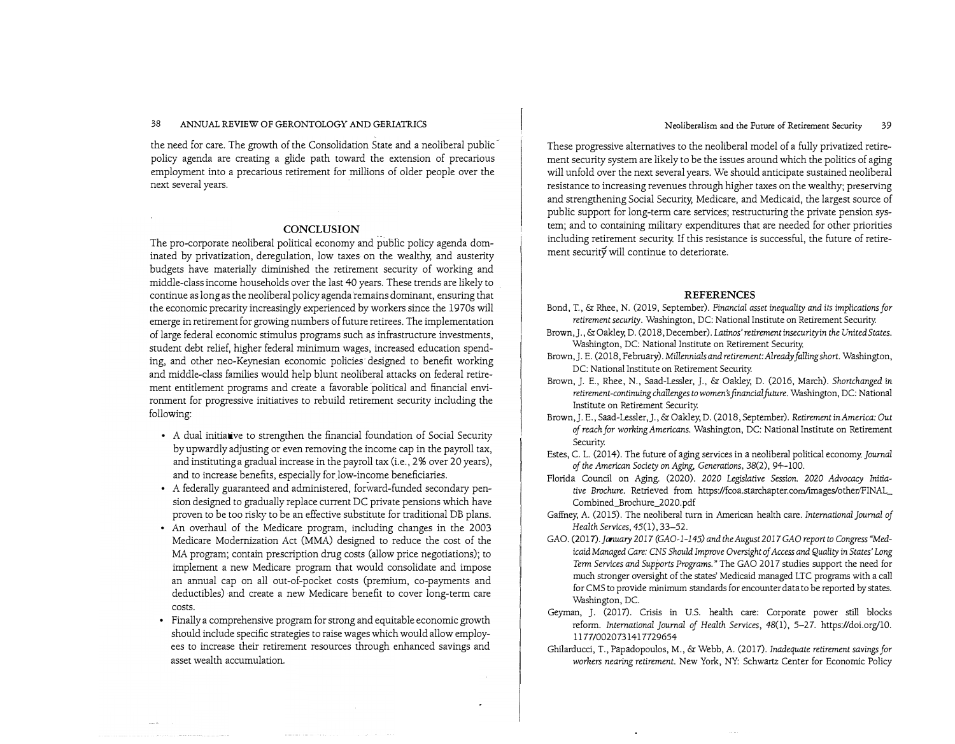the need for care. The growth of the Consolidation State and a neoliberal public policy agenda are creating a glide path toward the extension of precarious employment into a precarious retirement for millions of older people over the next several years.

#### **CONCLUSION**

The pro-corporate neoliberal political economy and public policy agenda dominated by privatization, deregulation, low taxes on the wealthy, and austerity budgets have materially diminished the retirement security of working and middle-class income households over the last 40 years. These trends are likely to continue as long as the neoliberal policy agenda remains dominant, ensuring that the economic precarity increasingly experienced by workers since the 1970s will emerge in retirement for growing numbers of future retirees. The implementation of large federal economic stimulus programs such as infrastructure investments, student debt relief, higher federal minimum wages, increased education spending, and other nee-Keynesian economic policies· designed to benefit working and middle-class families would help blunt neoliberal attacks on federal retirement entitlement programs and create a favorable 'political and financial environment for progressive initiatives to rebuild retirement security including the following:

- $\bullet$   $\,$  A dual initia $\,$ ive to strengthen the financial foundation of Social Security by upwardly adjusting or even removing the income cap in the payroll tax, and instituting a gradual increase in the payroll tax (i.e., 2% over 20 years), and to increase benefits, especially for low-income beneficiaries.
- A federally guaranteed and administered, forward-funded secondary pension designed to gradually replace current DC private pensions which have proven to be too risky to be an effective substitute for traditional DB plans.
- An overhaul of the Medicare program, including changes in the 2003 Medicare Modernization Act (MMA) designed to reduce the cost of the MA program; contain prescription drug costs (allow price negotiations); to implement a new Medicare program that would consolidate and impose an annual cap on all out-of-pocket costs (premium, co-payments and deductibles) and create a new Medicare benefit to cover long-term care costs.
- Finally a comprehensive program for strong and equitable economic growth should include specific strategies to raise wages which would allow employees to increase their retirement resources through enhanced savings and asset wealth accumulation.

#### Neoliberalism and the Future of Retirement Security 39

These progressive alternatives to the neoliberal model of a fully privatized retirement security system are likely to be the issues around which the politics of aging will unfold over the next several years. We should anticipate sustained neoliberal resistance to increasing revenues through higher taxes on the wealthy; preserving and strengthening Social Security, Medicare, and Medicaid, the largest source of public support for long-term care services; restructuring the private pension system; and to containing military expenditures that are needed for other priorities including retirement security. If this resistance is successful, the future of retirement security will continue to deteriorate.

#### **REFERENCES**

- Bond, T., & Rhee, N. (2019, September). *Financial asset inequality and* its *implications for retirement security.* Washington, DC: National Institute on Retirement Security.
- Brown,]., & Oakley, D. (2018, December). *I.atinos'retirement insecurityin the United States.*  Washington, DC: National Institute on Retirement Security.
- Brown,]. E. (2018, February). *Millennials and retirement: Already falling short.* Washington, DC: National Institute on Retirement Security.
- Brown, J. E., Rhee, N., Saad-Lessler, *].,* & Oakley, D. (2016, March). *Shortchanged* in *retirement-continuing challenges to women's financial future.* Washington, DC: National Institute on Retirement Security.
- Brown,]. E., Saad-Lessler,J., & Oakley, D. (2018, September). *Retirement* in *America: Out of reach for working Americans.* Washington, DC: National Institute on Retirement Security.
- Estes, C. L. (2014). The future of aging services in a neoliberal political economy. *Journal of the American Society on Aging, Generations,* 38(2), 94-100.
- Florida Council on Aging. (2020). *2020 Legislative Session. 2020 Advocacy Initiative Brochure.* Retrieved from https://fcoa.starchapter.com/images/other/FINAL\_ Combined\_Brochure\_2020.pdf
- Gaffney, A. (2015). The neoliberal tum in American health care. *International Journal of Health Services,* 45(1), 33-52.
- GAO. (2017). January 2017 (GAO-1-145) and the August 2017 GAO report to Congress "Medicaid *Managed Care: CNS Should Improve Oversight of Access and Quality* in *States' Long Term Services and Supports Programs."* The GAO 2017 studies support the need for much stronger oversight of the states' Medicaid managed LTC programs with a call for CMS to provide minimum standards for encounter data to be reported by states. Washington, DC.
- Geyman, J. (2017). Crisis in U.S. health care: Corporate power still blocks reform. *International Journal of Health Services,* 48(1), 5-27. https://doi.org,'10. l l 77/0020731417729654
- Ghilarducci, T., Papadopoulos, M., & Webb, A. (2017). *Inadequate retirement savings for workers nearing retirement.* New York, NY: Schwartz Center for Economic Policy